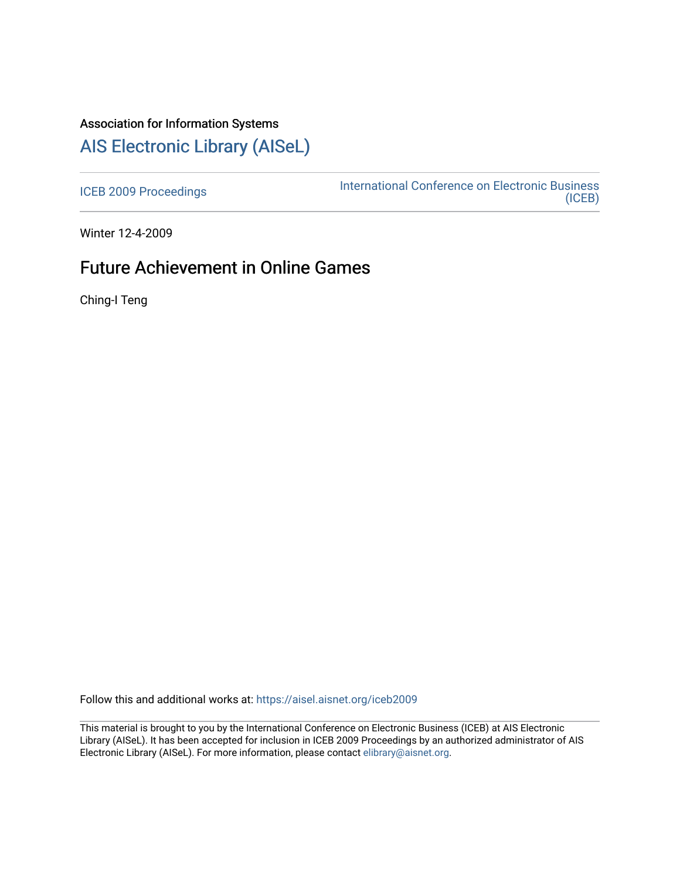## Association for Information Systems

# [AIS Electronic Library \(AISeL\)](https://aisel.aisnet.org/)

[ICEB 2009 Proceedings](https://aisel.aisnet.org/iceb2009) **International Conference on Electronic Business** [\(ICEB\)](https://aisel.aisnet.org/iceb) 

Winter 12-4-2009

## Future Achievement in Online Games

Ching-I Teng

Follow this and additional works at: [https://aisel.aisnet.org/iceb2009](https://aisel.aisnet.org/iceb2009?utm_source=aisel.aisnet.org%2Ficeb2009%2F13&utm_medium=PDF&utm_campaign=PDFCoverPages)

This material is brought to you by the International Conference on Electronic Business (ICEB) at AIS Electronic Library (AISeL). It has been accepted for inclusion in ICEB 2009 Proceedings by an authorized administrator of AIS Electronic Library (AISeL). For more information, please contact [elibrary@aisnet.org.](mailto:elibrary@aisnet.org%3E)